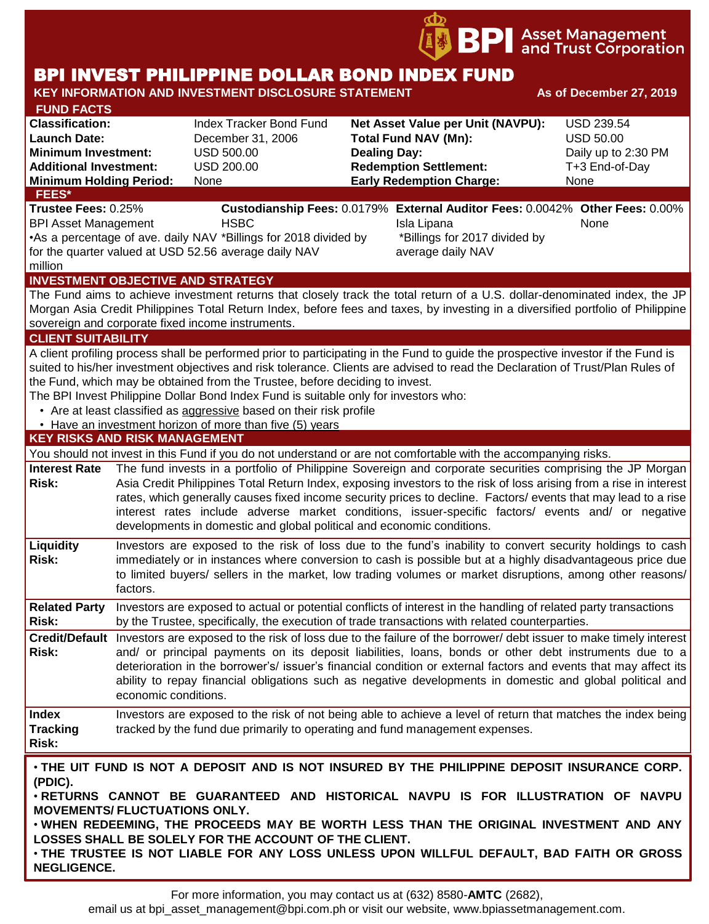

# BPI INVEST PHILIPPINE DOLLAR BOND INDEX FUND

#### **KEY INFORMATION AND INVESTMENT DISCLOSURE STATEMENT AS OF December 27, 2019 FUND FACTS Classification:** Index Tracker Bond Fund **Net Asset Value per Unit (NAVPU):** USD 239.54 **Launch Date:** December 31, 2006 **Total Fund NAV (Mn):** USD 50.00 **Minimum Investment:** USD 500.00 **Dealing Day:** Daily up to 2:30 PM **Additional Investment:** USD 200.00 **Redemption Settlement:** T+3 End-of-Day **Minimum Holding Period:** None **Early Redemption Charge:** None **KEY RISKS AND RISK MANAGEMENT**  You should not invest in this Fund if you do not understand or are not comfortable with the accompanying risks. **Interest Rate Risk:** The fund invests in a portfolio of Philippine Sovereign and corporate securities comprising the JP Morgan Asia Credit Philippines Total Return Index, exposing investors to the risk of loss arising from a rise in interest rates, which generally causes fixed income security prices to decline. Factors/ events that may lead to a rise interest rates include adverse market conditions, issuer-specific factors/ events and/ or negative developments in domestic and global political and economic conditions. **Liquidity Risk:** Investors are exposed to the risk of loss due to the fund's inability to convert security holdings to cash immediately or in instances where conversion to cash is possible but at a highly disadvantageous price due to limited buyers/ sellers in the market, low trading volumes or market disruptions, among other reasons/ factors. **Related Party**  Investors are exposed to actual or potential conflicts of interest in the handling of related party transactions **Risk:** by the Trustee, specifically, the execution of trade transactions with related counterparties. **Credit/Default**  Investors are exposed to the risk of loss due to the failure of the borrower/ debt issuer to make timely interest **Risk:** and/ or principal payments on its deposit liabilities, loans, bonds or other debt instruments due to a deterioration in the borrower's/ issuer's financial condition or external factors and events that may affect its ability to repay financial obligations such as negative developments in domestic and global political and economic conditions. **Index Tracking Risk:** Investors are exposed to the risk of not being able to achieve a level of return that matches the index being tracked by the fund due primarily to operating and fund management expenses. **INVESTMENT OBJECTIVE AND STRATEGY** The Fund aims to achieve investment returns that closely track the total return of a U.S. dollar-denominated index, the JP Morgan Asia Credit Philippines Total Return Index, before fees and taxes, by investing in a diversified portfolio of Philippine sovereign and corporate fixed income instruments. **CLIENT SUITABILITY** A client profiling process shall be performed prior to participating in the Fund to guide the prospective investor if the Fund is suited to his/her investment objectives and risk tolerance. Clients are advised to read the Declaration of Trust/Plan Rules of the Fund, which may be obtained from the Trustee, before deciding to invest. The BPI Invest Philippine Dollar Bond Index Fund is suitable only for investors who: • Are at least classified as aggressive based on their risk profile • Have an investment horizon of more than five (5) years • **THE UIT FUND IS NOT A DEPOSIT AND IS NOT INSURED BY THE PHILIPPINE DEPOSIT INSURANCE CORP. (PDIC).** • **RETURNS CANNOT BE GUARANTEED AND HISTORICAL NAVPU IS FOR ILLUSTRATION OF NAVPU MOVEMENTS/ FLUCTUATIONS ONLY.** • **WHEN REDEEMING, THE PROCEEDS MAY BE WORTH LESS THAN THE ORIGINAL INVESTMENT AND ANY LOSSES SHALL BE SOLELY FOR THE ACCOUNT OF THE CLIENT.** • **THE TRUSTEE IS NOT LIABLE FOR ANY LOSS UNLESS UPON WILLFUL DEFAULT, BAD FAITH OR GROSS NEGLIGENCE. FEES\* Trustee Fees:** 0.25% **Custodianship Fees:** 0.0179% **External Auditor Fees:** 0.0042% **Other Fees:** 0.00% BPI Asset Management **HSBC Isla Lipana** Isla Lipana None •As a percentage of ave. daily NAV \*Billings for 2018 divided by for the quarter valued at USD 52.56 average daily NAV million \*Billings for 2017 divided by average daily NAV

For more information, you may contact us at (632) 8580-**AMTC** (2682),

email us at bpi\_asset\_management@bpi.com.ph or visit our website, www.bpiassetmanagement.com.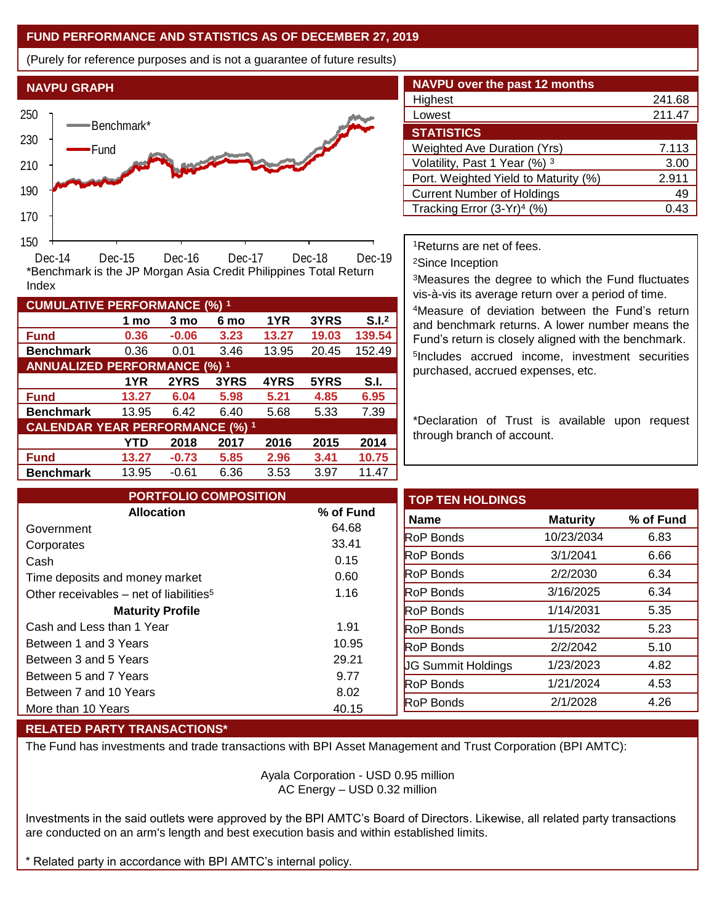# **FUND PERFORMANCE AND STATISTICS AS OF DECEMBER 27, 2019**

(Purely for reference purposes and is not a guarantee of future results)



**Fund 0.36 -0.06 3.23 13.27 19.03 139.54 Benchmark** 0.36 0.01 3.46 13.95 20.45 152.49

\*Benchmark is the JP Morgan Asia Credit Philippines Total Return

**Fund 13.27 6.04 5.98 5.21 4.85 6.95 Benchmark** 13.95 6.42 6.40 5.68 5.33 7.39

**Fund 13.27 -0.73 5.85 2.96 3.41 10.75 Benchmark** 13.95 -0.61 6.36 3.53 3.97 11.47

**1 mo 3 mo 6 mo 1YR 3YRS S.I.<sup>2</sup>**

**1YR 2YRS 3YRS 4YRS 5YRS S.I.**

**YTD 2018 2017 2016 2015 2014**

| <b>NAVPU over the past 12 months</b>   |        |
|----------------------------------------|--------|
| Highest                                | 241.68 |
| Lowest                                 | 211.47 |
| <b>STATISTICS</b>                      |        |
| <b>Weighted Ave Duration (Yrs)</b>     | 7.113  |
| Volatility, Past 1 Year (%) 3          | 3.00   |
| Port. Weighted Yield to Maturity (%)   | 2.911  |
| <b>Current Number of Holdings</b>      | 49     |
| Tracking Error (3-Yr) <sup>4</sup> (%) | 0.43   |

<sup>1</sup>Returns are net of fees.

<sup>2</sup>Since Inception

<sup>3</sup>Measures the degree to which the Fund fluctuates vis-à-vis its average return over a period of time.

<sup>4</sup>Measure of deviation between the Fund's return and benchmark returns. A lower number means the Fund's return is closely aligned with the benchmark. 5 Includes accrued income, investment securities purchased, accrued expenses, etc.

\*Declaration of Trust is available upon request through branch of account.

| <b>PORTFOLIO COMPOSITION</b>                        |               | <b>TOP TEN HOLDINGS</b>   |                 |
|-----------------------------------------------------|---------------|---------------------------|-----------------|
| <b>Allocation</b>                                   | % of Fund     | <b>Name</b>               | <b>Maturity</b> |
| Government                                          | 64.68         | <b>RoP Bonds</b>          | 10/23/2034      |
| Corporates                                          | 33.41<br>0.15 | <b>RoP Bonds</b>          | 3/1/2041        |
| Cash<br>Time deposits and money market              | 0.60          | <b>RoP Bonds</b>          | 2/2/2030        |
| Other receivables – net of liabilities <sup>5</sup> | 1.16          | <b>RoP Bonds</b>          | 3/16/2025       |
| <b>Maturity Profile</b>                             |               | <b>RoP Bonds</b>          | 1/14/2031       |
| Cash and Less than 1 Year                           | 1.91          | <b>RoP Bonds</b>          | 1/15/2032       |
| Between 1 and 3 Years                               | 10.95         | <b>RoP Bonds</b>          | 2/2/2042        |
| Between 3 and 5 Years                               | 29.21         | <b>UG Summit Holdings</b> | 1/23/2023       |
| Between 5 and 7 Years                               | 9.77          | <b>RoP</b> Bonds          | 1/21/2024       |
| Between 7 and 10 Years                              | 8.02          | <b>RoP Bonds</b>          | 2/1/2028        |
| More than 10 Years                                  | 40.15         |                           |                 |

### **RELATED PARTY TRANSACTIONS\***

**CUMULATIVE PERFORMANCE (%) <sup>1</sup>**

Index

**ANNUALIZED PERFORMANCE (%) <sup>1</sup>**

**CALENDAR YEAR PERFORMANCE (%) <sup>1</sup>**

The Fund has investments and trade transactions with BPI Asset Management and Trust Corporation (BPI AMTC):

Ayala Corporation - USD 0.95 million AC Energy – USD 0.32 million

Investments in the said outlets were approved by the BPI AMTC's Board of Directors. Likewise, all related party transactions are conducted on an arm's length and best execution basis and within established limits.

Related party in accordance with BPI AMTC's internal policy.